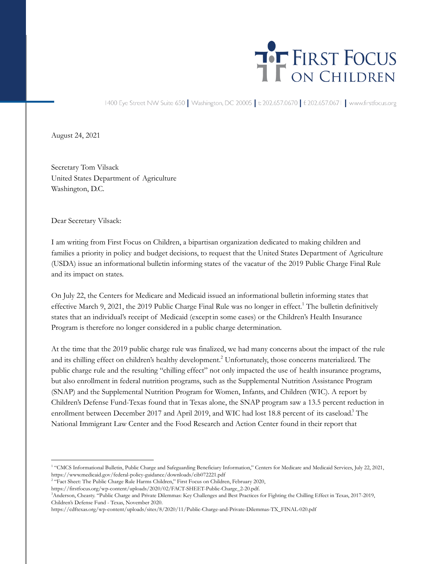## THE FIRST FOCUS

1400 Eye Street NW Suite 650 | Washington, DC 20005 | t: 202.657.0670 | f: 202.657.0671 | www.firstfocus.org

August 24, 2021

Secretary Tom Vilsack United States Department of Agriculture Washington, D.C.

Dear Secretary Vilsack:

I am writing from First Focus on Children, a bipartisan organization dedicated to making children and families a priority in policy and budget decisions, to request that the United States Department of Agriculture (USDA) issue an informational bulletin informing states of the vacatur of the 2019 Public Charge Final Rule and its impact on states.

On July 22, the Centers for Medicare and Medicaid issued an informational bulletin informing states that effective March 9, 2021, the 2019 Public Charge Final Rule was no longer in effect.<sup>1</sup> The bulletin definitively states that an individual's receipt of Medicaid (exceptin some cases) or the Children's Health Insurance Program is therefore no longer considered in a public charge determination.

At the time that the 2019 public charge rule was finalized, we had many concerns about the impact of the rule and its chilling effect on children's healthy development.<sup>2</sup> Unfortunately, those concerns materialized. The public charge rule and the resulting "chilling effect" not only impacted the use of health insurance programs, but also enrollment in federal nutrition programs, such as the Supplemental Nutrition Assistance Program (SNAP) and the Supplemental Nutrition Program for Women, Infants, and Children (WIC). A report by Children's Defense Fund-Texas found that in Texas alone, the SNAP program saw a 13.5 percent reduction in enrollment between December 2017 and April 2019, and WIC had lost 18.8 percent of its caseload.<sup>3</sup> The National Immigrant Law Center and the Food Research and Action Center found in their report that

<sup>1</sup> "CMCS Informational Bulletin, Public Charge and Safeguarding Beneficiary Information," Centers for Medicare and Medicaid Services, July 22, 2021, https://www.medicaid.gov/federal-policy-guidance/downloads/cib072221.pdf

<sup>&</sup>lt;sup>2</sup> "Fact Sheet: The Public Charge Rule Harms Children," First Focus on Children, February 2020,

https://firstfocus.org/wp-content/uploads/2020/02/FACT-SHEET-Public-Charge\_2-20.pdf.

<sup>3</sup>Anderson, Cheasty. "Public Charge and Private Dilemmas: Key Challenges and Best Practices for Fighting the Chilling Effect in Texas, 2017-2019, Children's Defense Fund - Texas, November 2020.

https://cdftexas.org/wp-content/uploads/sites/8/2020/11/Public-Charge-and-Private-Dilemmas-TX\_FINAL-020.pdf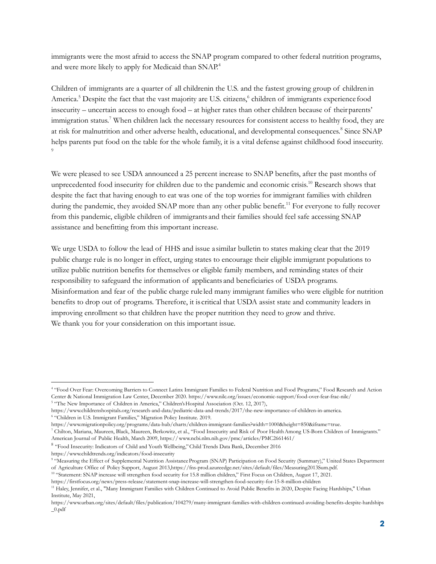immigrants were the most afraid to access the SNAP program compared to other federal nutrition programs, and were more likely to apply for Medicaid than SNAP.<sup>4</sup>

Children of immigrants are a quarter of all childrenin the U.S. and the fastest growing group of childrenin America.<sup>5</sup> Despite the fact that the vast majority are U.S. citizens,<sup>6</sup> children of immigrants experience food insecurity – uncertain access to enough food – at higher rates than other children because of theirparents' immigration status.<sup>7</sup> When children lack the necessary resources for consistent access to healthy food, they are at risk for malnutrition and other adverse health, educational, and developmental consequences.<sup>8</sup> Since SNAP helps parents put food on the table for the whole family, it is a vital defense against childhood food insecurity. 9

We were pleased to see USDA announced a 25 percent increase to SNAP benefits, after the past months of unprecedented food insecurity for children due to the pandemic and economic crisis.<sup>10</sup> Research shows that despite the fact that having enough to eat was one of the top worries for immigrant families with children during the pandemic, they avoided SNAP more than any other public benefit.<sup>11</sup> For everyone to fully recover from this pandemic, eligible children of immigrants and their families should feel safe accessing SNAP assistance and benefitting from this important increase.

We urge USDA to follow the lead of HHS and issue a similar bulletin to states making clear that the 2019 public charge rule is no longer in effect, urging states to encourage their eligible immigrant populations to utilize public nutrition benefits for themselves or eligible family members, and reminding states of their responsibility to safeguard the information of applicants and beneficiaries of USDA programs. Misinformation and fear of the public charge rule led many immigrant families who were eligible for nutrition benefits to drop out of programs. Therefore, it is critical that USDA assist state and community leaders in improving enrollment so that children have the proper nutrition they need to grow and thrive. We thank you for your consideration on this important issue.

https://www.childtrends.org/indicators/food-insecurity

<sup>4</sup> "Food Over Fear: Overcoming Barriers to Connect Latinx Immigrant Families to Federal Nutrition and Food Programs," Food Research and Action Center & National Immigration Law Center, December 2020. https://www.nilc.org/issues/economic-support/food-over-fear-frac-nilc/

<sup>&</sup>lt;sup>5</sup> "The New Importance of Children in America[,](https://www.childrenshospitals.org/research-and-data/pediatric-data-and-trends/2017/the-new-importance-of-children-in-america)" Children's Hospital Association (Oct. 12, 2017),

<sup>6</sup> "Children in U.S. Immigrant Families," Migration Policy Institute. 2019. [https://www.childrenshospitals.org/research-and-data/pediatric-data-and-trends/2017/the-new-importance-of-children-in-america.](https://www.childrenshospitals.org/research-and-data/pediatric-data-and-trends/2017/the-new-importance-of-children-in-america)

<sup>7</sup> Chilton, Mariana, Maureen, Black, Maureen, Berkowitz, et al., "Food Insecurity and Risk of Poor HealthAmong US-Born Children of Immigrants." <https://www.migrationpolicy.org/programs/data-hub/charts/children-immigrant-families?width=1000&height=850&iframe=true>.

American Journal of Public Health, March 2009, https://www.ncbi.nlm.nih.gov/pmc/articles/PMC2661461/

<sup>&</sup>lt;sup>8</sup> "Food Insecurity: Indicators of Child and Youth Wellbeing," Child Trends Data Bank, December 2016

<sup>&</sup>lt;sup>9</sup> "Measuring the Effect of Supplemental Nutrition Assistance Program (SNAP) Participation on Food Security (Summary)," United States Department of Agriculture Office of Policy Support, August 2013,https://fns-prod.azureedge.net/sites/default/files/Measuring2013Sum.pdf.

<sup>&</sup>lt;sup>10</sup> "Statement: SNAP increase will strengthen food security for 15.8 million children," First Focus on Children, August 17, 2021. https://firstfocus.org/news/press-release/statement-snap-increase-will-strengthen-food-security-for-15-8-million-children

<sup>11</sup> Haley, Jennifer, et al., "Many Immigrant Families with Children Continued to Avoid Public Benefits in 2020, Despite Facing Hardships," Urban Institute, May 2021,

https://www.urban.org/sites/default/files/publication/104279/many-immigrant-families-with-children-continued-avoiding-benefits-despite-hardships \_0.pdf